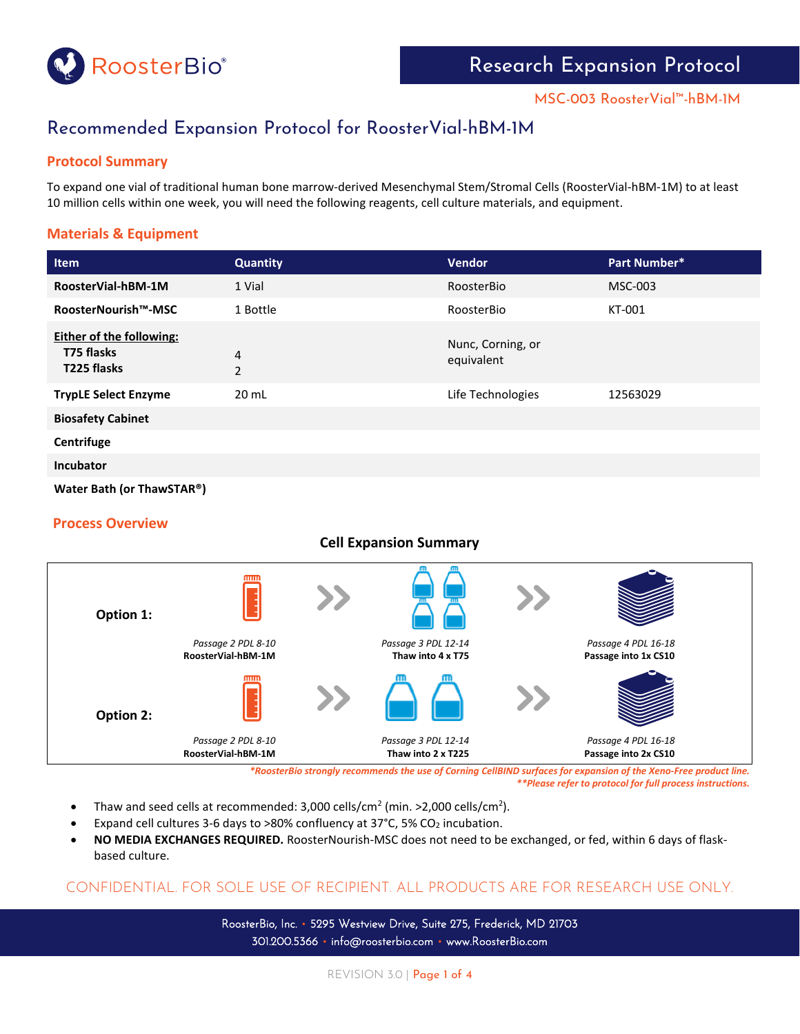

# Recommended Expansion Protocol for RoosterVial-hBM-1M

## **Protocol Summary**

To expand one vial of traditional human bone marrow-derived Mesenchymal Stem/Stromal Cells (RoosterVial-hBM-1M) to at least 10 million cells within one week, you will need the following reagents, cell culture materials, and equipment.

## **Materials & Equipment**

| <b>Item</b>                                                  | <b>Quantity</b>     | <b>Vendor</b>                   | Part Number* |  |  |
|--------------------------------------------------------------|---------------------|---------------------------------|--------------|--|--|
| RoosterVial-hBM-1M                                           | 1 Vial              | RoosterBio                      | MSC-003      |  |  |
| RoosterNourish™-MSC                                          | 1 Bottle            | RoosterBio                      | KT-001       |  |  |
| <b>Either of the following:</b><br>T75 flasks<br>T225 flasks | 4<br>$\overline{2}$ | Nunc, Corning, or<br>equivalent |              |  |  |
| <b>TrypLE Select Enzyme</b>                                  | 20 mL               | Life Technologies               | 12563029     |  |  |
| <b>Biosafety Cabinet</b>                                     |                     |                                 |              |  |  |
| Centrifuge                                                   |                     |                                 |              |  |  |
| <b>Incubator</b>                                             |                     |                                 |              |  |  |
| Water Bath (or ThawSTAR®)                                    |                     |                                 |              |  |  |

### **Process Overview**

### **Cell Expansion Summary**



*\*RoosterBio strongly recommends the use of Corning CellBIND surfaces for expansion of the Xeno-Free product line. \*\*Please refer to protocol for full process instructions.*

- Thaw and seed cells at recommended:  $3,000$  cells/cm<sup>2</sup> (min. >2,000 cells/cm<sup>2</sup>).
- Expand cell cultures 3-6 days to >80% confluency at 37 $^{\circ}$ C, 5% CO<sub>2</sub> incubation.
- **NO MEDIA EXCHANGES REQUIRED.** RoosterNourish-MSC does not need to be exchanged, or fed, within 6 days of flaskbased culture.

## CONFIDENTIAL. FOR SOLE USE OF RECIPIENT. ALL PRODUCTS ARE FOR RESEARCH USE ONLY.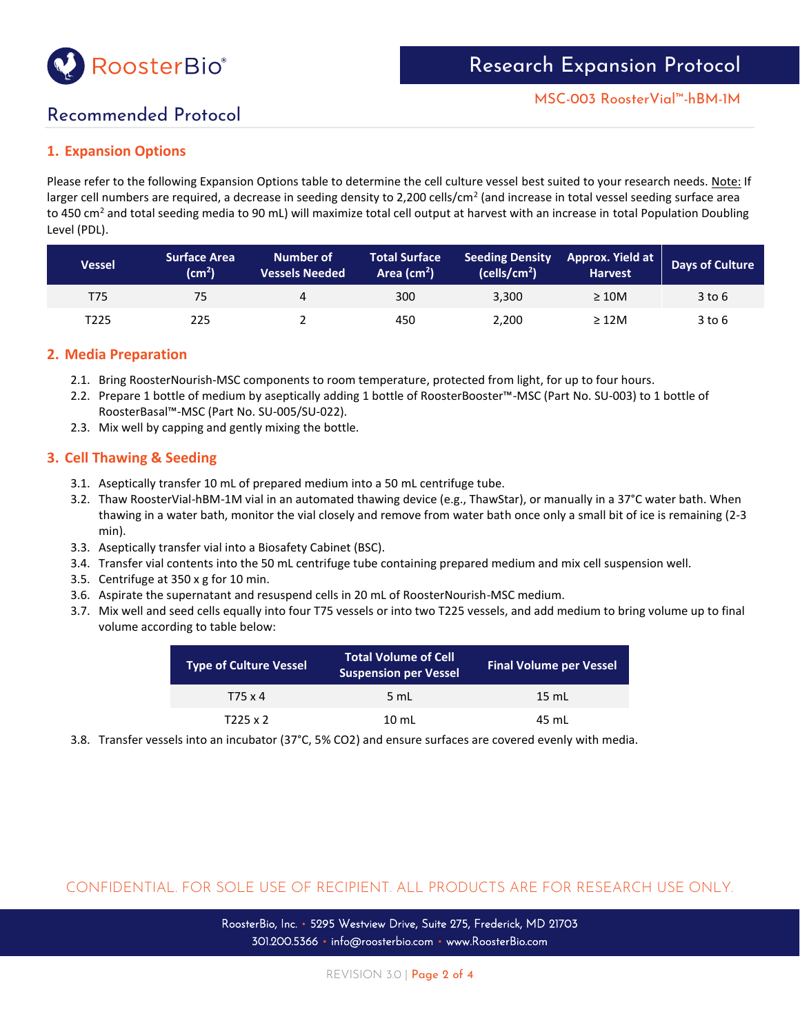

# Recommended Protocol

## **1. Expansion Options**

Please refer to the following Expansion Options table to determine the cell culture vessel best suited to your research needs. Note: If larger cell numbers are required, a decrease in seeding density to 2,200 cells/cm<sup>2</sup> (and increase in total vessel seeding surface area to 450 cm<sup>2</sup> and total seeding media to 90 mL) will maximize total cell output at harvest with an increase in total Population Doubling Level (PDL).

| Vessel | <b>Surface Area</b><br>$\mathsf{(cm^2)}$ | <b>Number of</b><br><b>Vessels Needed</b> | <b>Total Surface</b><br>Area $\text{cm}^2$ ) | <b>Seeding Density</b><br>(cells/cm <sup>2</sup> ) | Approx. Yield at<br><b>Harvest</b> | <b>Days of Culture</b> |
|--------|------------------------------------------|-------------------------------------------|----------------------------------------------|----------------------------------------------------|------------------------------------|------------------------|
| T75    | 75                                       | 4                                         | 300                                          | 3.300                                              | $\geq 10M$                         | 3 to 6                 |
| T225   | 225                                      |                                           | 450                                          | 2,200                                              | $\geq$ 12M                         | 3 to 6                 |

## **2. Media Preparation**

- 2.1. Bring RoosterNourish-MSC components to room temperature, protected from light, for up to four hours.
- 2.2. Prepare 1 bottle of medium by aseptically adding 1 bottle of RoosterBooster™-MSC (Part No. SU-003) to 1 bottle of RoosterBasal™-MSC (Part No. SU-005/SU-022).
- 2.3. Mix well by capping and gently mixing the bottle.

## **3. Cell Thawing & Seeding**

- 3.1. Aseptically transfer 10 mL of prepared medium into a 50 mL centrifuge tube.
- 3.2. Thaw RoosterVial-hBM-1M vial in an automated thawing device (e.g., ThawStar), or manually in a 37°C water bath. When thawing in a water bath, monitor the vial closely and remove from water bath once only a small bit of ice is remaining (2-3 min).
- 3.3. Aseptically transfer vial into a Biosafety Cabinet (BSC).
- 3.4. Transfer vial contents into the 50 mL centrifuge tube containing prepared medium and mix cell suspension well.
- 3.5. Centrifuge at 350 x g for 10 min.
- 3.6. Aspirate the supernatant and resuspend cells in 20 mL of RoosterNourish-MSC medium.
- 3.7. Mix well and seed cells equally into four T75 vessels or into two T225 vessels, and add medium to bring volume up to final volume according to table below:

| <b>Type of Culture Vessel</b> | <b>Total Volume of Cell</b><br><b>Suspension per Vessel</b> | <b>Final Volume per Vessel</b> |
|-------------------------------|-------------------------------------------------------------|--------------------------------|
| T75 x 4                       | 5 mL                                                        | $15 \text{ mL}$                |
| T225 x 2                      | $10 \text{ mL}$                                             | 45 mL                          |

3.8. Transfer vessels into an incubator (37°C, 5% CO2) and ensure surfaces are covered evenly with media.

## CONFIDENTIAL. FOR SOLE USE OF RECIPIENT. ALL PRODUCTS ARE FOR RESEARCH USE ONLY.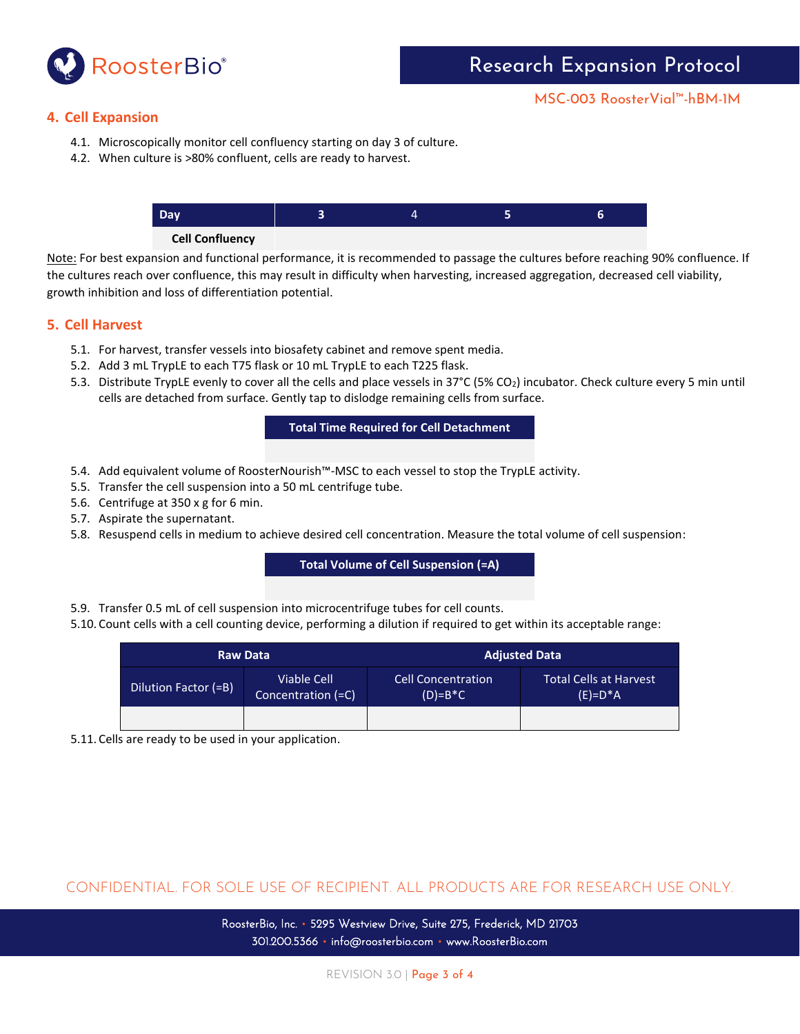

### **4. Cell Expansion**

- 4.1. Microscopically monitor cell confluency starting on day 3 of culture.
- 4.2. When culture is >80% confluent, cells are ready to harvest.



#### **Cell Confluency**

Note: For best expansion and functional performance, it is recommended to passage the cultures before reaching 90% confluence. If the cultures reach over confluence, this may result in difficulty when harvesting, increased aggregation, decreased cell viability, growth inhibition and loss of differentiation potential.

#### **5. Cell Harvest**

- 5.1. For harvest, transfer vessels into biosafety cabinet and remove spent media.
- 5.2. Add 3 mL TrypLE to each T75 flask or 10 mL TrypLE to each T225 flask.
- 5.3. Distribute TrypLE evenly to cover all the cells and place vessels in 37°C (5% CO2) incubator. Check culture every 5 min until cells are detached from surface. Gently tap to dislodge remaining cells from surface.

**Total Time Required for Cell Detachment**

- 5.4. Add equivalent volume of RoosterNourish™-MSC to each vessel to stop the TrypLE activity.
- 5.5. Transfer the cell suspension into a 50 mL centrifuge tube.
- 5.6. Centrifuge at 350 x g for 6 min.
- 5.7. Aspirate the supernatant.
- 5.8. Resuspend cells in medium to achieve desired cell concentration. Measure the total volume of cell suspension:

**Total Volume of Cell Suspension (=A)**

- 5.9. Transfer 0.5 mL of cell suspension into microcentrifuge tubes for cell counts.
- 5.10. Count cells with a cell counting device, performing a dilution if required to get within its acceptable range:

| <b>Raw Data</b>      |                                   | <b>Adjusted Data</b>                   |                                             |  |  |
|----------------------|-----------------------------------|----------------------------------------|---------------------------------------------|--|--|
| Dilution Factor (=B) | Viable Cell<br>Concentration (=C) | <b>Cell Concentration</b><br>$(D)=B*C$ | <b>Total Cells at Harvest</b><br>$(E)=D^*A$ |  |  |
|                      |                                   |                                        |                                             |  |  |

5.11. Cells are ready to be used in your application.

CONFIDENTIAL. FOR SOLE USE OF RECIPIENT. ALL PRODUCTS ARE FOR RESEARCH USE ONLY.